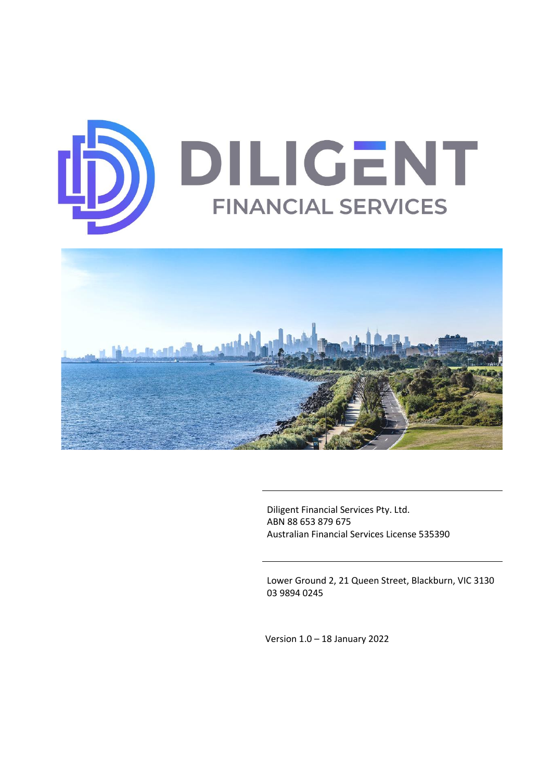



Diligent Financial Services Pty. Ltd. ABN 88 653 879 675 Australian Financial Services License 535390

Lower Ground 2, 21 Queen Street, Blackburn, VIC 3130 03 9894 0245

Version 1.0 – 18 January 2022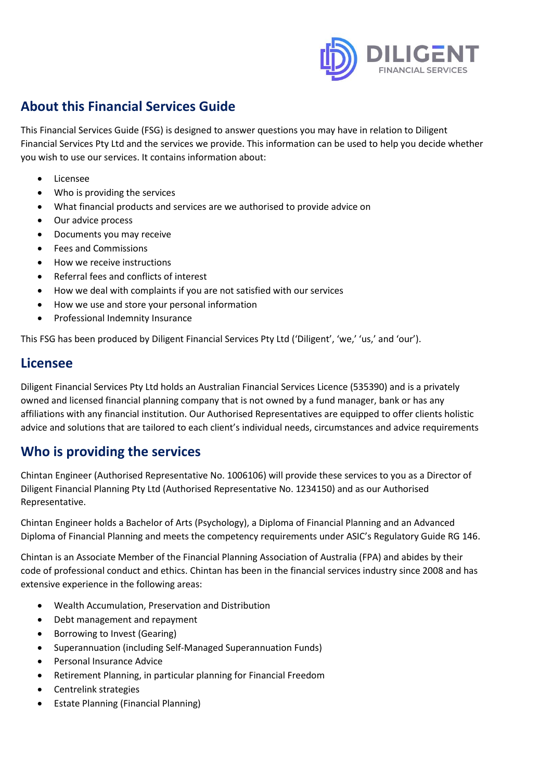

# **About this Financial Services Guide**

This Financial Services Guide (FSG) is designed to answer questions you may have in relation to Diligent Financial Services Pty Ltd and the services we provide. This information can be used to help you decide whether you wish to use our services. It contains information about:

- Licensee
- Who is providing the services
- What financial products and services are we authorised to provide advice on
- Our advice process
- Documents you may receive
- Fees and Commissions
- How we receive instructions
- Referral fees and conflicts of interest
- How we deal with complaints if you are not satisfied with our services
- How we use and store your personal information
- Professional Indemnity Insurance

This FSG has been produced by Diligent Financial Services Pty Ltd ('Diligent', 'we,' 'us,' and 'our').

## **Licensee**

Diligent Financial Services Pty Ltd holds an Australian Financial Services Licence (535390) and is a privately owned and licensed financial planning company that is not owned by a fund manager, bank or has any affiliations with any financial institution. Our Authorised Representatives are equipped to offer clients holistic advice and solutions that are tailored to each client's individual needs, circumstances and advice requirements

# **Who is providing the services**

Chintan Engineer (Authorised Representative No. 1006106) will provide these services to you as a Director of Diligent Financial Planning Pty Ltd (Authorised Representative No. 1234150) and as our Authorised Representative.

Chintan Engineer holds a Bachelor of Arts (Psychology), a Diploma of Financial Planning and an Advanced Diploma of Financial Planning and meets the competency requirements under ASIC's Regulatory Guide RG 146.

Chintan is an Associate Member of the Financial Planning Association of Australia (FPA) and abides by their code of professional conduct and ethics. Chintan has been in the financial services industry since 2008 and has extensive experience in the following areas:

- Wealth Accumulation, Preservation and Distribution
- Debt management and repayment
- Borrowing to Invest (Gearing)
- Superannuation (including Self-Managed Superannuation Funds)
- Personal Insurance Advice
- Retirement Planning, in particular planning for Financial Freedom
- Centrelink strategies
- Estate Planning (Financial Planning)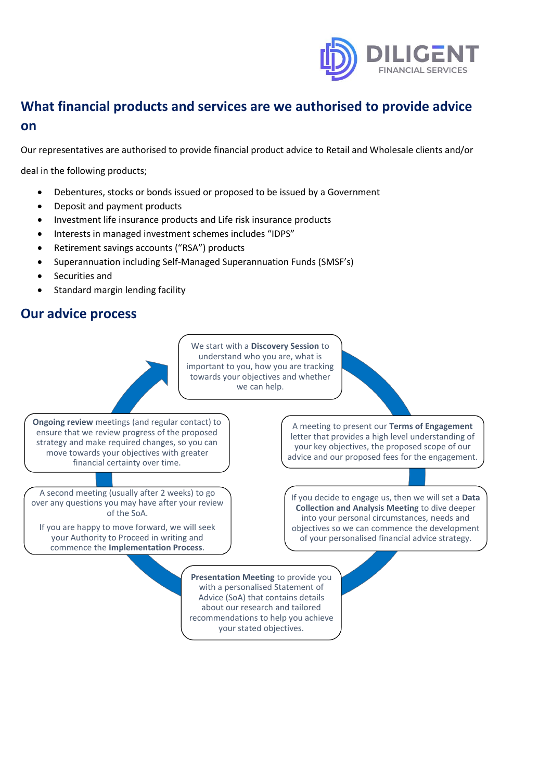

# **What financial products and services are we authorised to provide advice on**

Our representatives are authorised to provide financial product advice to Retail and Wholesale clients and/or

deal in the following products;

- Debentures, stocks or bonds issued or proposed to be issued by a Government
- Deposit and payment products
- Investment life insurance products and Life risk insurance products
- Interests in managed investment schemes includes "IDPS"
- Retirement savings accounts ("RSA") products
- Superannuation including Self-Managed Superannuation Funds (SMSF's)
- Securities and
- Standard margin lending facility

### **Our advice process**

We start with a **Discovery Session** to understand who you are, what is important to you, how you are tracking towards your objectives and whether we can help.

**Ongoing review** meetings (and regular contact) to ensure that we review progress of the proposed strategy and make required changes, so you can move towards your objectives with greater financial certainty over time.

A second meeting (usually after 2 weeks) to go over any questions you may have after your review of the SoA.

If you are happy to move forward, we will seek your Authority to Proceed in writing and commence the **Implementation Process**.

A meeting to present our **Terms of Engagement**  letter that provides a high level understanding of your key objectives, the proposed scope of our advice and our proposed fees for the engagement.

If you decide to engage us, then we will set a **Data Collection and Analysis Meeting** to dive deeper into your personal circumstances, needs and objectives so we can commence the development of your personalised financial advice strategy.

**Presentation Meeting** to provide you with a personalised Statement of Advice (SoA) that contains details about our research and tailored recommendations to help you achieve your stated objectives.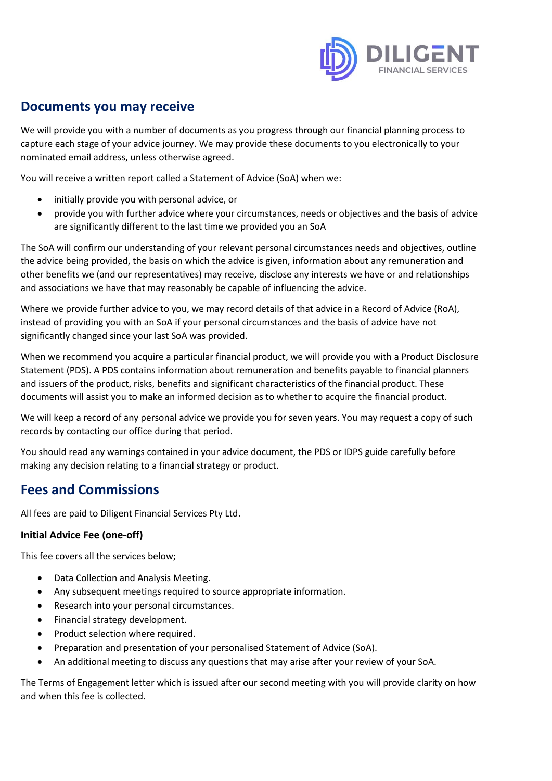

## **Documents you may receive**

We will provide you with a number of documents as you progress through our financial planning process to capture each stage of your advice journey. We may provide these documents to you electronically to your nominated email address, unless otherwise agreed.

You will receive a written report called a Statement of Advice (SoA) when we:

- initially provide you with personal advice, or
- provide you with further advice where your circumstances, needs or objectives and the basis of advice are significantly different to the last time we provided you an SoA

The SoA will confirm our understanding of your relevant personal circumstances needs and objectives, outline the advice being provided, the basis on which the advice is given, information about any remuneration and other benefits we (and our representatives) may receive, disclose any interests we have or and relationships and associations we have that may reasonably be capable of influencing the advice.

Where we provide further advice to you, we may record details of that advice in a Record of Advice (RoA), instead of providing you with an SoA if your personal circumstances and the basis of advice have not significantly changed since your last SoA was provided.

When we recommend you acquire a particular financial product, we will provide you with a Product Disclosure Statement (PDS). A PDS contains information about remuneration and benefits payable to financial planners and issuers of the product, risks, benefits and significant characteristics of the financial product. These documents will assist you to make an informed decision as to whether to acquire the financial product.

We will keep a record of any personal advice we provide you for seven years. You may request a copy of such records by contacting our office during that period.

You should read any warnings contained in your advice document, the PDS or IDPS guide carefully before making any decision relating to a financial strategy or product.

## **Fees and Commissions**

All fees are paid to Diligent Financial Services Pty Ltd.

#### **Initial Advice Fee (one-off)**

This fee covers all the services below;

- Data Collection and Analysis Meeting.
- Any subsequent meetings required to source appropriate information.
- Research into your personal circumstances.
- Financial strategy development.
- Product selection where required.
- Preparation and presentation of your personalised Statement of Advice (SoA).
- An additional meeting to discuss any questions that may arise after your review of your SoA.

The Terms of Engagement letter which is issued after our second meeting with you will provide clarity on how and when this fee is collected.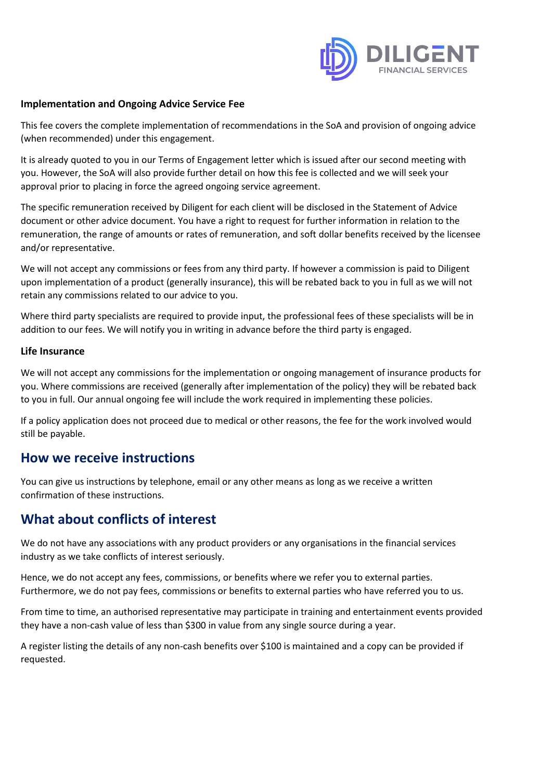

#### **Implementation and Ongoing Advice Service Fee**

This fee covers the complete implementation of recommendations in the SoA and provision of ongoing advice (when recommended) under this engagement.

It is already quoted to you in our Terms of Engagement letter which is issued after our second meeting with you. However, the SoA will also provide further detail on how this fee is collected and we will seek your approval prior to placing in force the agreed ongoing service agreement.

The specific remuneration received by Diligent for each client will be disclosed in the Statement of Advice document or other advice document. You have a right to request for further information in relation to the remuneration, the range of amounts or rates of remuneration, and soft dollar benefits received by the licensee and/or representative.

We will not accept any commissions or fees from any third party. If however a commission is paid to Diligent upon implementation of a product (generally insurance), this will be rebated back to you in full as we will not retain any commissions related to our advice to you.

Where third party specialists are required to provide input, the professional fees of these specialists will be in addition to our fees. We will notify you in writing in advance before the third party is engaged.

#### **Life Insurance**

We will not accept any commissions for the implementation or ongoing management of insurance products for you. Where commissions are received (generally after implementation of the policy) they will be rebated back to you in full. Our annual ongoing fee will include the work required in implementing these policies.

If a policy application does not proceed due to medical or other reasons, the fee for the work involved would still be payable.

### **How we receive instructions**

You can give us instructions by telephone, email or any other means as long as we receive a written confirmation of these instructions.

## **What about conflicts of interest**

We do not have any associations with any product providers or any organisations in the financial services industry as we take conflicts of interest seriously.

Hence, we do not accept any fees, commissions, or benefits where we refer you to external parties. Furthermore, we do not pay fees, commissions or benefits to external parties who have referred you to us.

From time to time, an authorised representative may participate in training and entertainment events provided they have a non-cash value of less than \$300 in value from any single source during a year.

A register listing the details of any non-cash benefits over \$100 is maintained and a copy can be provided if requested.